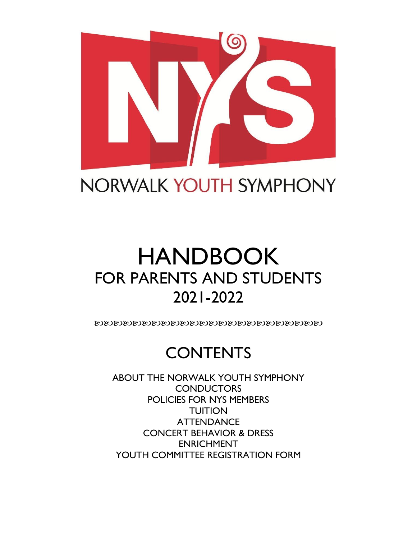

NORWALK YOUTH SYMPHONY

# HANDBOOK FOR PARENTS AND STUDENTS 2021-2022

ೲೱೲೱೲೱೲೱೲೱೲೱೲೱೲೱೲೱೲೱೲೱೲೱೲೱೲೱ

## **CONTENTS**

ABOUT THE NORWALK YOUTH SYMPHONY **CONDUCTORS** POLICIES FOR NYS MEMBERS **TUITION ATTENDANCE** CONCERT BEHAVIOR & DRESS ENRICHMENT YOUTH COMMITTEE REGISTRATION FORM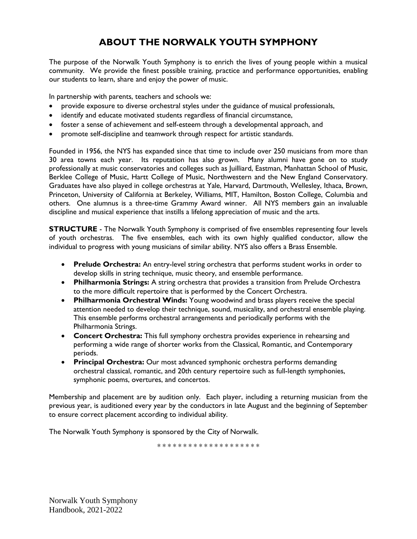### **ABOUT THE NORWALK YOUTH SYMPHONY**

The purpose of the Norwalk Youth Symphony is to enrich the lives of young people within a musical community. We provide the finest possible training, practice and performance opportunities, enabling our students to learn, share and enjoy the power of music.

In partnership with parents, teachers and schools we:

- provide exposure to diverse orchestral styles under the guidance of musical professionals,
- identify and educate motivated students regardless of financial circumstance,
- foster a sense of achievement and self-esteem through a developmental approach, and
- promote self-discipline and teamwork through respect for artistic standards.

Founded in 1956, the NYS has expanded since that time to include over 250 musicians from more than 30 area towns each year. Its reputation has also grown. Many alumni have gone on to study professionally at music conservatories and colleges such as Juilliard, Eastman, Manhattan School of Music, Berklee College of Music, Hartt College of Music, Northwestern and the New England Conservatory. Graduates have also played in college orchestras at Yale, Harvard, Dartmouth, Wellesley, Ithaca, Brown, Princeton, University of California at Berkeley, Williams, MIT, Hamilton, Boston College, Columbia and others. One alumnus is a three-time Grammy Award winner. All NYS members gain an invaluable discipline and musical experience that instills a lifelong appreciation of music and the arts.

**STRUCTURE** - The Norwalk Youth Symphony is comprised of five ensembles representing four levels of youth orchestras. The five ensembles, each with its own highly qualified conductor, allow the individual to progress with young musicians of similar ability. NYS also offers a Brass Ensemble.

- **Prelude Orchestra:** An entry-level string orchestra that performs student works in order to develop skills in string technique, music theory, and ensemble performance.
- **Philharmonia Strings:** A string orchestra that provides a transition from Prelude Orchestra to the more difficult repertoire that is performed by the Concert Orchestra.
- **Philharmonia Orchestral Winds:** Young woodwind and brass players receive the special attention needed to develop their technique, sound, musicality, and orchestral ensemble playing. This ensemble performs orchestral arrangements and periodically performs with the Philharmonia Strings.
- **Concert Orchestra:** This full symphony orchestra provides experience in rehearsing and performing a wide range of shorter works from the Classical, Romantic, and Contemporary periods.
- **Principal Orchestra:** Our most advanced symphonic orchestra performs demanding orchestral classical, romantic, and 20th century repertoire such as full-length symphonies, symphonic poems, overtures, and concertos.

Membership and placement are by audition only. Each player, including a returning musician from the previous year, is auditioned every year by the conductors in late August and the beginning of September to ensure correct placement according to individual ability.

The Norwalk Youth Symphony is sponsored by the City of Norwalk.

\* \* \* \* \* \* \* \* \* \* \* \* \* \* \* \* \* \* \* \*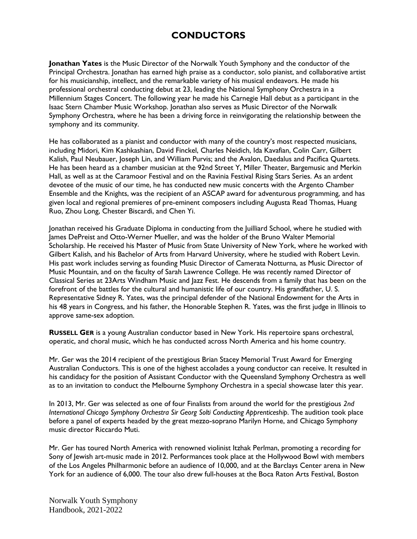### **CONDUCTORS**

**Jonathan Yates** is the Music Director of the Norwalk Youth Symphony and the conductor of the Principal Orchestra. Jonathan has earned high praise as a conductor, solo pianist, and collaborative artist for his musicianship, intellect, and the remarkable variety of his musical endeavors. He made his professional orchestral conducting debut at 23, leading the National Symphony Orchestra in a Millennium Stages Concert. The following year he made his Carnegie Hall debut as a participant in the Isaac Stern Chamber Music Workshop. Jonathan also serves as Music Director of the Norwalk Symphony Orchestra, where he has been a driving force in reinvigorating the relationship between the symphony and its community.

He has collaborated as a pianist and conductor with many of the country's most respected musicians, including Midori, Kim Kashkashian, David Finckel, Charles Neidich, Ida Kavafian, Colin Carr, Gilbert Kalish, Paul Neubauer, Joseph Lin, and William Purvis; and the Avalon, Daedalus and Pacifica Quartets. He has been heard as a chamber musician at the 92nd Street Y, Miller Theater, Bargemusic and Merkin Hall, as well as at the Caramoor Festival and on the Ravinia Festival Rising Stars Series. As an ardent devotee of the music of our time, he has conducted new music concerts with the Argento Chamber Ensemble and the Knights, was the recipient of an ASCAP award for adventurous programming, and has given local and regional premieres of pre-eminent composers including Augusta Read Thomas, Huang Ruo, Zhou Long, Chester Biscardi, and Chen Yi.

Jonathan received his Graduate Diploma in conducting from the Juilliard School, where he studied with James DePreist and Otto-Werner Mueller, and was the holder of the Bruno Walter Memorial Scholarship. He received his Master of Music from State University of New York, where he worked with Gilbert Kalish, and his Bachelor of Arts from Harvard University, where he studied with Robert Levin. His past work includes serving as founding Music Director of Camerata Notturna, as Music Director of Music Mountain, and on the faculty of Sarah Lawrence College. He was recently named Director of Classical Series at 23Arts Windham Music and Jazz Fest. He descends from a family that has been on the forefront of the battles for the cultural and humanistic life of our country. His grandfather, U. S. Representative Sidney R. Yates, was the principal defender of the National Endowment for the Arts in his 48 years in Congress, and his father, the Honorable Stephen R. Yates, was the first judge in Illinois to approve same-sex adoption.

**RUSSELL GER** is a young Australian conductor based in New York. His repertoire spans orchestral, operatic, and choral music, which he has conducted across North America and his home country.

Mr. Ger was the 2014 recipient of the prestigious Brian Stacey Memorial Trust Award for Emerging Australian Conductors. This is one of the highest accolades a young conductor can receive. It resulted in his candidacy for the position of Assistant Conductor with the Queensland Symphony Orchestra as well as to an invitation to conduct the Melbourne Symphony Orchestra in a special showcase later this year.

In 2013, Mr. Ger was selected as one of four Finalists from around the world for the prestigious *2nd International Chicago Symphony Orchestra Sir Georg Solti Conducting Apprenticeship*. The audition took place before a panel of experts headed by the great mezzo-soprano Marilyn Horne, and Chicago Symphony music director Riccardo Muti.

Mr. Ger has toured North America with renowned violinist Itzhak Perlman, promoting a recording for Sony of Jewish art-music made in 2012. Performances took place at the Hollywood Bowl with members of the Los Angeles Philharmonic before an audience of 10,000, and at the Barclays Center arena in New York for an audience of 6,000. The tour also drew full-houses at the Boca Raton Arts Festival, Boston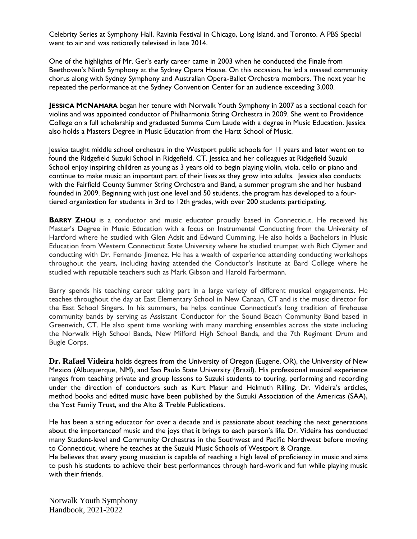Celebrity Series at Symphony Hall, Ravinia Festival in Chicago, Long Island, and Toronto. A PBS Special went to air and was nationally televised in late 2014.

One of the highlights of Mr. Ger's early career came in 2003 when he conducted the Finale from Beethoven's Ninth Symphony at the Sydney Opera House. On this occasion, he led a massed community chorus along with Sydney Symphony and Australian Opera-Ballet Orchestra members. The next year he repeated the performance at the Sydney Convention Center for an audience exceeding 3,000.

**JESSICA MCNAMARA** began her tenure with Norwalk Youth Symphony in 2007 as a sectional coach for violins and was appointed conductor of Philharmonia String Orchestra in 2009. She went to Providence College on a full scholarship and graduated Summa Cum Laude with a degree in Music Education. Jessica also holds a Masters Degree in Music Education from the Hartt School of Music.

Jessica taught middle school orchestra in the Westport public schools for 11 years and later went on to found the Ridgefield Suzuki School in Ridgefield, CT. Jessica and her colleagues at Ridgefield Suzuki School enjoy inspiring children as young as 3 years old to begin playing violin, viola, cello or piano and continue to make music an important part of their lives as they grow into adults. Jessica also conducts with the Fairfield County Summer String Orchestra and Band, a summer program she and her husband founded in 2009. Beginning with just one level and 50 students, the program has developed to a fourtiered organization for students in 3rd to 12th grades, with over 200 students participating.

**BARRY ZHOU** is a conductor and music educator proudly based in Connecticut. He received his Master's Degree in Music Education with a focus on Instrumental Conducting from the University of Hartford where he studied with Glen Adsit and Edward Cumming. He also holds a Bachelors in Music Education from Western Connecticut State University where he studied trumpet with Rich Clymer and conducting with Dr. Fernando Jimenez. He has a wealth of experience attending conducting workshops throughout the years, including having attended the Conductor's Institute at Bard College where he studied with reputable teachers such as Mark Gibson and Harold Farbermann.

Barry spends his teaching career taking part in a large variety of different musical engagements. He teaches throughout the day at East Elementary School in New Canaan, CT and is the music director for the East School Singers. In his summers, he helps continue Connecticut's long tradition of firehouse community bands by serving as Assistant Conductor for the Sound Beach Community Band based in Greenwich, CT. He also spent time working with many marching ensembles across the state including the Norwalk High School Bands, New Milford High School Bands, and the 7th Regiment Drum and Bugle Corps.

**Dr. Rafael Videira** holds degrees from the University of Oregon (Eugene, OR), the University of New Mexico (Albuquerque, NM), and Sao Paulo State University (Brazil). His professional musical experience ranges from teaching private and group lessons to Suzuki students to touring, performing and recording under the direction of conductors such as Kurt Masur and Helmuth Rilling. Dr. Videira's articles, method books and edited music have been published by the Suzuki Association of the Americas (SAA), the Yost Family Trust, and the Alto & Treble Publications.

He has been a string educator for over a decade and is passionate about teaching the next generations about the importanceof music and the joys that it brings to each person's life. Dr. Videira has conducted many Student-level and Community Orchestras in the Southwest and Pacific Northwest before moving to Connecticut, where he teaches at the Suzuki Music Schools of Westport & Orange.

He believes that every young musician is capable of reaching a high level of proficiency in music and aims to push his students to achieve their best performances through hard-work and fun while playing music with their friends.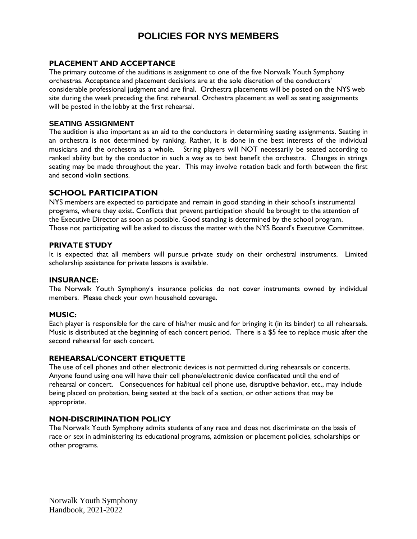### **POLICIES FOR NYS MEMBERS**

### **PLACEMENT AND ACCEPTANCE**

The primary outcome of the auditions is assignment to one of the five Norwalk Youth Symphony orchestras. Acceptance and placement decisions are at the sole discretion of the conductors' considerable professional judgment and are final. Orchestra placements will be posted on the NYS web site during the week preceding the first rehearsal. Orchestra placement as well as seating assignments will be posted in the lobby at the first rehearsal.

### **SEATING ASSIGNMENT**

The audition is also important as an aid to the conductors in determining seating assignments. Seating in an orchestra is not determined by ranking. Rather, it is done in the best interests of the individual musicians and the orchestra as a whole. String players will NOT necessarily be seated according to ranked ability but by the conductor in such a way as to best benefit the orchestra. Changes in strings seating may be made throughout the year. This may involve rotation back and forth between the first and second violin sections.

### **SCHOOL PARTICIPATION**

NYS members are expected to participate and remain in good standing in their school's instrumental programs, where they exist. Conflicts that prevent participation should be brought to the attention of the Executive Director as soon as possible. Good standing is determined by the school program. Those not participating will be asked to discuss the matter with the NYS Board's Executive Committee.

### **PRIVATE STUDY**

It is expected that all members will pursue private study on their orchestral instruments. Limited scholarship assistance for private lessons is available.

### **INSURANCE:**

The Norwalk Youth Symphony's insurance policies do not cover instruments owned by individual members. Please check your own household coverage.

### **MUSIC:**

Each player is responsible for the care of his/her music and for bringing it (in its binder) to all rehearsals. Music is distributed at the beginning of each concert period. There is a \$5 fee to replace music after the second rehearsal for each concert.

### **REHEARSAL/CONCERT ETIQUETTE**

The use of cell phones and other electronic devices is not permitted during rehearsals or concerts. Anyone found using one will have their cell phone/electronic device confiscated until the end of rehearsal or concert. Consequences for habitual cell phone use, disruptive behavior, etc., may include being placed on probation, being seated at the back of a section, or other actions that may be appropriate.

### **NON-DISCRIMINATION POLICY**

The Norwalk Youth Symphony admits students of any race and does not discriminate on the basis of race or sex in administering its educational programs, admission or placement policies, scholarships or other programs.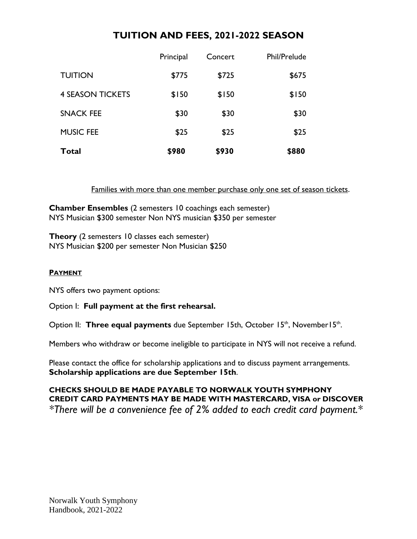### **TUITION AND FEES, 2021-2022 SEASON**

| Total                   | \$980     | \$930   | \$880        |
|-------------------------|-----------|---------|--------------|
| <b>MUSIC FEE</b>        | \$25      | \$25    | \$25         |
| <b>SNACK FEE</b>        | \$30      | \$30    | \$30         |
| <b>4 SEASON TICKETS</b> | \$150     | \$150   | \$150        |
| <b>TUITION</b>          | \$775     | \$725   | \$675        |
|                         | Principal | Concert | Phil/Prelude |

Families with more than one member purchase only one set of season tickets.

**Chamber Ensembles** (2 semesters 10 coachings each semester) NYS Musician \$300 semester Non NYS musician \$350 per semester

**Theory** (2 semesters 10 classes each semester) NYS Musician \$200 per semester Non Musician \$250

### **PAYMENT**

NYS offers two payment options:

Option I: **Full payment at the first rehearsal.** 

Option II: Three equal payments due September 15th, October 15<sup>th</sup>, November15<sup>th</sup>.

Members who withdraw or become ineligible to participate in NYS will not receive a refund.

Please contact the office for scholarship applications and to discuss payment arrangements. **Scholarship applications are due September 15th**.

**CHECKS SHOULD BE MADE PAYABLE TO NORWALK YOUTH SYMPHONY CREDIT CARD PAYMENTS MAY BE MADE WITH MASTERCARD, VISA or DISCOVER** *\*There will be a convenience fee of 2% added to each credit card payment.\**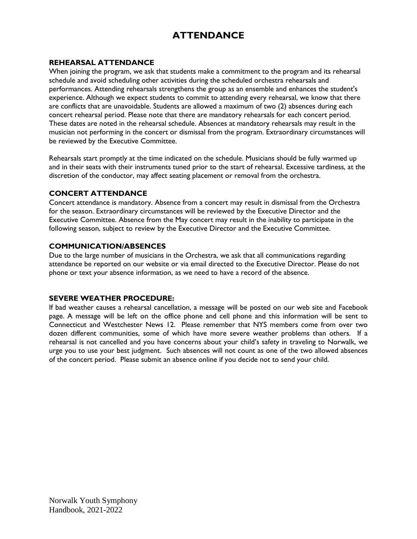### **ATTENDANCE**

### **REHEARSAL ATTENDANCE**

When joining the program, we ask that students make a commitment to the program and its rehearsal schedule and avoid scheduling other activities during the scheduled orchestra rehearsals and performances. Attending rehearsals strengthens the group as an ensemble and enhances the student's experience. Although we expect students to commit to attending every rehearsal, we know that there are conflicts that are unavoidable. Students are allowed a maximum of two (2) absences during each concert rehearsal period. Please note that there are mandatory rehearsals for each concert period. These dates are noted in the rehearsal schedule. Absences at mandatory rehearsals may result in the musician not performing in the concert or dismissal from the program. Extraordinary circumstances will be reviewed by the Executive Committee.

Rehearsals start promptly at the time indicated on the schedule. Musicians should be fully warmed up and in their seats with their instruments tuned prior to the start of rehearsal. Excessive tardiness, at the discretion of the conductor, may affect seating placement or removal from the orchestra.

### **CONCERT ATTENDANCE**

Concert attendance is mandatory. Absence from a concert may result in dismissal from the Orchestra for the season. Extraordinary circumstances will be reviewed by the Executive Director and the Executive Committee. Absence from the May concert may result in the inability to participate in the following season, subject to review by the Executive Director and the Executive Committee.

### **COMMUNICATION/ABSENCES**

Due to the large number of musicians in the Orchestra, we ask that all communications regarding attendance be reported on our website or via email directed to the Executive Director. Please do not phone or text your absence information, as we need to have a record of the absence.

### **SEVERE WEATHER PROCEDURE:**

If bad weather causes a rehearsal cancellation, a message will be posted on our web site and Facebook page. A message will be left on the office phone and cell phone and this information will be sent to Connecticut and Westchester News 12. Please remember that NYS members come from over two dozen different communities, some of which have more severe weather problems than others. If a rehearsal is not cancelled and you have concerns about your child's safety in traveling to Norwalk, we urge you to use your best judgment. Such absences will not count as one of the two allowed absences of the concert period. Please submit an absence online if you decide not to send your child.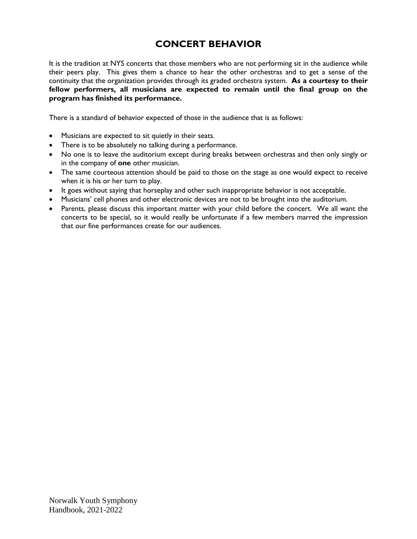### **CONCERT BEHAVIOR**

It is the tradition at NYS concerts that those members who are not performing sit in the audience while their peers play. This gives them a chance to hear the other orchestras and to get a sense of the continuity that the organization provides through its graded orchestra system. **As a courtesy to their fellow performers, all musicians are expected to remain until the final group on the program has finished its performance.**

There is a standard of behavior expected of those in the audience that is as follows:

- Musicians are expected to sit quietly in their seats.
- There is to be absolutely no talking during a performance.
- No one is to leave the auditorium except during breaks between orchestras and then only singly or in the company of **one** other musician.
- The same courteous attention should be paid to those on the stage as one would expect to receive when it is his or her turn to play.
- It goes without saying that horseplay and other such inappropriate behavior is not acceptable.
- Musicians' cell phones and other electronic devices are not to be brought into the auditorium.
- Parents, please discuss this important matter with your child before the concert. We all want the concerts to be special, so it would really be unfortunate if a few members marred the impression that our fine performances create for our audiences.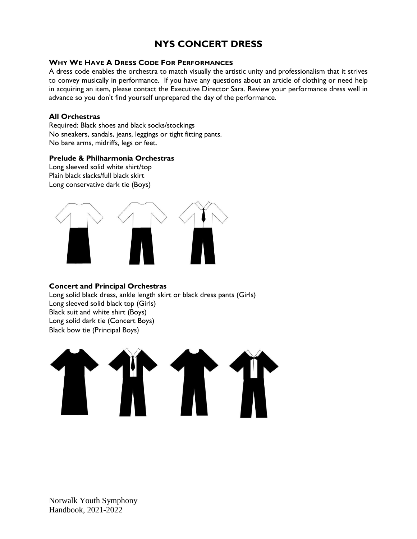### **NYS CONCERT DRESS**

### **WHY WE HAVE A DRESS CODE FOR PERFORMANCES**

A dress code enables the orchestra to match visually the artistic unity and professionalism that it strives to convey musically in performance. If you have any questions about an article of clothing or need help in acquiring an item, please contact the Executive Director Sara. Review your performance dress well in advance so you don't find yourself unprepared the day of the performance.

#### **All Orchestras**

Required: Black shoes and black socks/stockings No sneakers, sandals, jeans, leggings or tight fitting pants. No bare arms, midriffs, legs or feet.

### **Prelude & Philharmonia Orchestras**

Long sleeved solid white shirt/top Plain black slacks/full black skirt Long conservative dark tie (Boys)



### **Concert and Principal Orchestras**

Long solid black dress, ankle length skirt or black dress pants (Girls) Long sleeved solid black top (Girls) Black suit and white shirt (Boys) Long solid dark tie (Concert Boys) Black bow tie (Principal Boys)

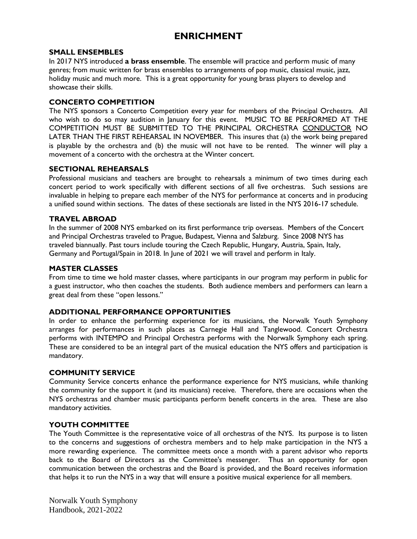### **ENRICHMENT**

### **SMALL ENSEMBLES**

In 2017 NYS introduced **a brass ensemble**. The ensemble will practice and perform music of many genres; from music written for brass ensembles to arrangements of pop music, classical music, jazz, holiday music and much more. This is a great opportunity for young brass players to develop and showcase their skills.

### **CONCERTO COMPETITION**

The NYS sponsors a Concerto Competition every year for members of the Principal Orchestra. All who wish to do so may audition in January for this event. MUSIC TO BE PERFORMED AT THE COMPETITION MUST BE SUBMITTED TO THE PRINCIPAL ORCHESTRA CONDUCTOR NO LATER THAN THE FIRST REHEARSAL IN NOVEMBER. This insures that (a) the work being prepared is playable by the orchestra and (b) the music will not have to be rented. The winner will play a movement of a concerto with the orchestra at the Winter concert.

### **SECTIONAL REHEARSALS**

Professional musicians and teachers are brought to rehearsals a minimum of two times during each concert period to work specifically with different sections of all five orchestras. Such sessions are invaluable in helping to prepare each member of the NYS for performance at concerts and in producing a unified sound within sections. The dates of these sectionals are listed in the NYS 2016-17 schedule.

#### **TRAVEL ABROAD**

In the summer of 2008 NYS embarked on its first performance trip overseas. Members of the Concert and Principal Orchestras traveled to Prague, Budapest, Vienna and Salzburg. Since 2008 NYS has traveled biannually. Past tours include touring the Czech Republic, Hungary, Austria, Spain, Italy, Germany and Portugal/Spain in 2018. In June of 2021 we will travel and perform in Italy.

#### **MASTER CLASSES**

From time to time we hold master classes, where participants in our program may perform in public for a guest instructor, who then coaches the students. Both audience members and performers can learn a great deal from these "open lessons."

### **ADDITIONAL PERFORMANCE OPPORTUNITIES**

In order to enhance the performing experience for its musicians, the Norwalk Youth Symphony arranges for performances in such places as Carnegie Hall and Tanglewood. Concert Orchestra performs with INTEMPO and Principal Orchestra performs with the Norwalk Symphony each spring. These are considered to be an integral part of the musical education the NYS offers and participation is mandatory.

### **COMMUNITY SERVICE**

Community Service concerts enhance the performance experience for NYS musicians, while thanking the community for the support it (and its musicians) receive. Therefore, there are occasions when the NYS orchestras and chamber music participants perform benefit concerts in the area. These are also mandatory activities.

### **YOUTH COMMITTEE**

The Youth Committee is the representative voice of all orchestras of the NYS. Its purpose is to listen to the concerns and suggestions of orchestra members and to help make participation in the NYS a more rewarding experience. The committee meets once a month with a parent advisor who reports back to the Board of Directors as the Committee's messenger. Thus an opportunity for open communication between the orchestras and the Board is provided, and the Board receives information that helps it to run the NYS in a way that will ensure a positive musical experience for all members.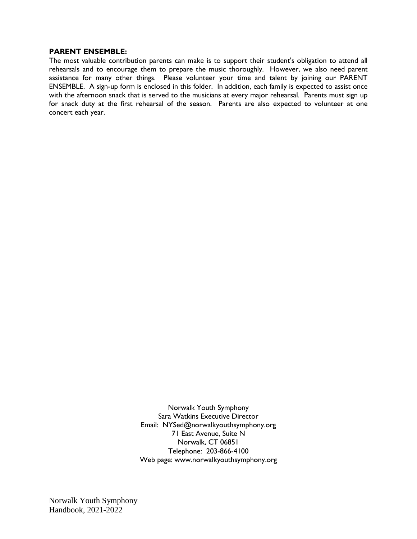#### **PARENT ENSEMBLE:**

The most valuable contribution parents can make is to support their student's obligation to attend all rehearsals and to encourage them to prepare the music thoroughly. However, we also need parent assistance for many other things. Please volunteer your time and talent by joining our PARENT ENSEMBLE. A sign-up form is enclosed in this folder. In addition, each family is expected to assist once with the afternoon snack that is served to the musicians at every major rehearsal. Parents must sign up for snack duty at the first rehearsal of the season. Parents are also expected to volunteer at one concert each year.

> Norwalk Youth Symphony Sara Watkins Executive Director Email: NYSed@norwalkyouthsymphony.org 71 East Avenue, Suite N Norwalk, CT 06851 Telephone: 203-866-4100 Web page: [www.norwalkyouthsymphony.org](http://www.norwalkyouthsymphony.org/)